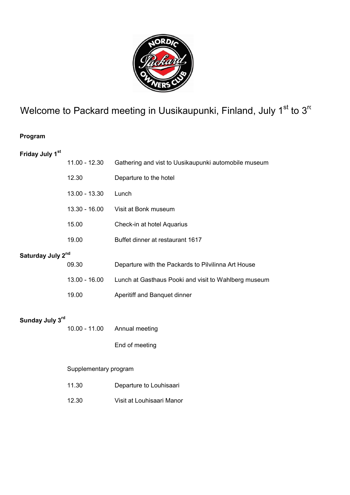

# Welcome to Packard meeting in Uusikaupunki, Finland, July  $1<sup>st</sup>$  to  $3<sup>rt</sup>$

### Program

## Friday July 1st

|                   | 11.00 - 12.30         | Gathering and vist to Uusikaupunki automobile museum |  |  |  |  |
|-------------------|-----------------------|------------------------------------------------------|--|--|--|--|
|                   | 12.30                 | Departure to the hotel                               |  |  |  |  |
|                   | 13.00 - 13.30         | Lunch                                                |  |  |  |  |
|                   | $13.30 - 16.00$       | Visit at Bonk museum                                 |  |  |  |  |
|                   | 15.00                 | Check-in at hotel Aquarius                           |  |  |  |  |
|                   | 19.00                 | Buffet dinner at restaurant 1617                     |  |  |  |  |
| Saturday July 2nd |                       |                                                      |  |  |  |  |
|                   | 09.30                 | Departure with the Packards to Pilvilinna Art House  |  |  |  |  |
|                   | $13.00 - 16.00$       | Lunch at Gasthaus Pooki and visit to Wahlberg museum |  |  |  |  |
|                   | 19.00                 | Aperitiff and Banquet dinner                         |  |  |  |  |
| Sunday July 3rd   |                       |                                                      |  |  |  |  |
|                   | $10.00 - 11.00$       | Annual meeting                                       |  |  |  |  |
|                   |                       | End of meeting                                       |  |  |  |  |
|                   | Supplementary program |                                                      |  |  |  |  |
|                   | 11.30                 | Departure to Louhisaari                              |  |  |  |  |
|                   | 12.30                 | Visit at Louhisaari Manor                            |  |  |  |  |